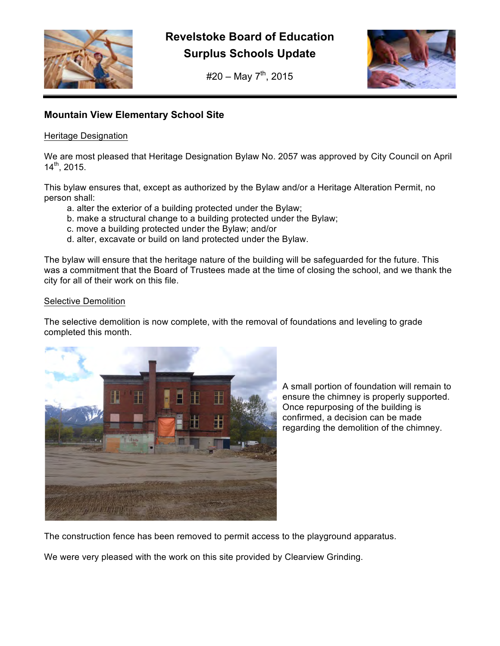

**Revelstoke Board of Education Surplus Schools Update**

 $#20 - May 7<sup>th</sup>, 2015$ 



# **Mountain View Elementary School Site**

# Heritage Designation

We are most pleased that Heritage Designation Bylaw No. 2057 was approved by City Council on April 14th, 2015.

This bylaw ensures that, except as authorized by the Bylaw and/or a Heritage Alteration Permit, no person shall:

- a. alter the exterior of a building protected under the Bylaw;
- b. make a structural change to a building protected under the Bylaw;
- c. move a building protected under the Bylaw; and/or
- d. alter, excavate or build on land protected under the Bylaw.

The bylaw will ensure that the heritage nature of the building will be safeguarded for the future. This was a commitment that the Board of Trustees made at the time of closing the school, and we thank the city for all of their work on this file.

# Selective Demolition

The selective demolition is now complete, with the removal of foundations and leveling to grade completed this month.



A small portion of foundation will remain to ensure the chimney is properly supported. Once repurposing of the building is confirmed, a decision can be made regarding the demolition of the chimney.

The construction fence has been removed to permit access to the playground apparatus.

We were very pleased with the work on this site provided by Clearview Grinding.